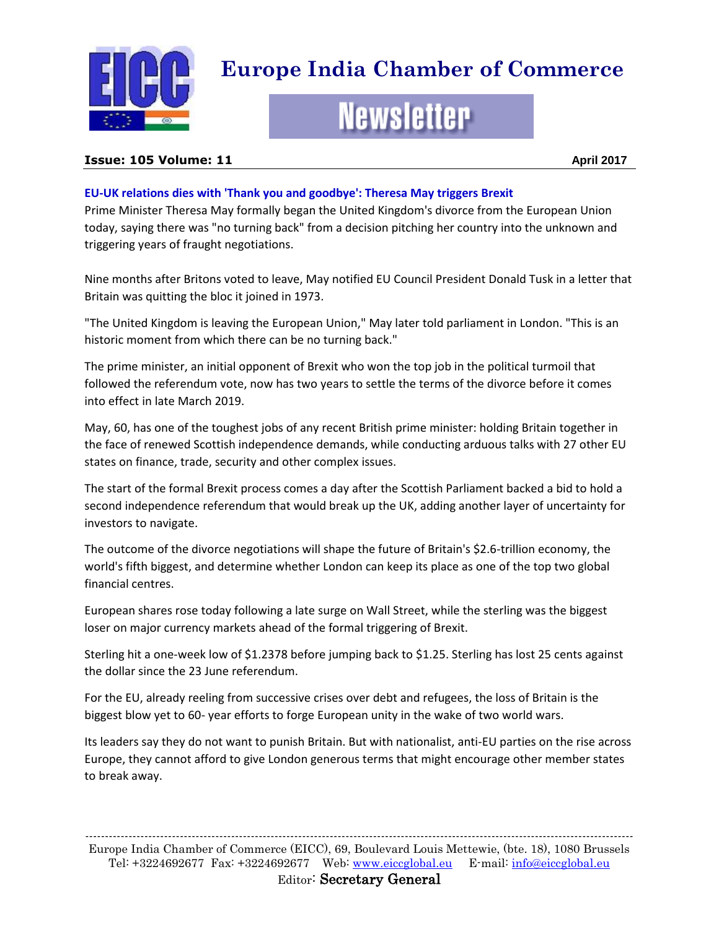

# **Europe India Chamber of Commerce**

# **Newsletter**

#### **Issue: 105 Volume: 11 April 2017**

# **EU-UK relations dies with 'Thank you and goodbye': Theresa May triggers Brexit**

Prime Minister Theresa May formally began the United Kingdom's divorce from the European Union today, saying there was "no turning back" from a decision pitching her country into the unknown and triggering years of fraught negotiations.

Nine months after Britons voted to leave, May notified EU Council President Donald Tusk in a letter that Britain was quitting the bloc it joined in 1973.

"The United Kingdom is leaving the European Union," May later told parliament in London. "This is an historic moment from which there can be no turning back."

The prime minister, an initial opponent of Brexit who won the top job in the political turmoil that followed the referendum vote, now has two years to settle the terms of the divorce before it comes into effect in late March 2019.

May, 60, has one of the toughest jobs of any recent British prime minister: holding Britain together in the face of renewed Scottish independence demands, while conducting arduous talks with 27 other EU states on finance, trade, security and other complex issues.

The start of the formal Brexit process comes a day after the Scottish Parliament backed a bid to hold a second independence referendum that would break up the UK, adding another layer of uncertainty for investors to navigate.

The outcome of the divorce negotiations will shape the future of Britain's \$2.6-trillion economy, the world's fifth biggest, and determine whether London can keep its place as one of the top two global financial centres.

European shares rose today following a late surge on Wall Street, while the sterling was the biggest loser on major currency markets ahead of the formal triggering of Brexit.

Sterling hit a one-week low of \$1.2378 before jumping back to \$1.25. Sterling has lost 25 cents against the dollar since the 23 June referendum.

For the EU, already reeling from successive crises over debt and refugees, the loss of Britain is the biggest blow yet to 60- year efforts to forge European unity in the wake of two world wars.

Its leaders say they do not want to punish Britain. But with nationalist, anti-EU parties on the rise across Europe, they cannot afford to give London generous terms that might encourage other member states to break away.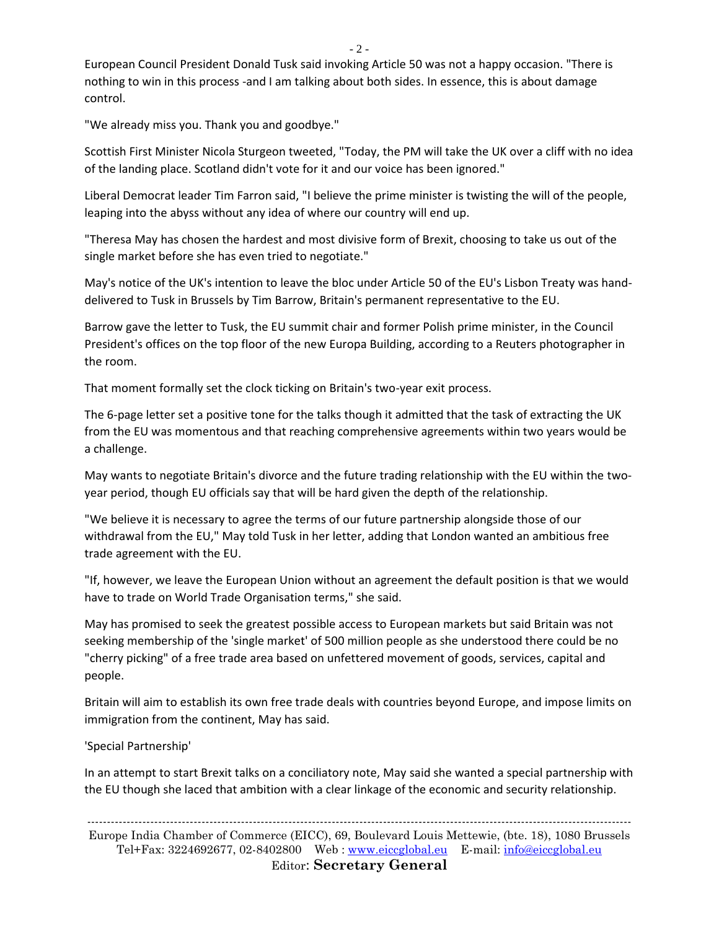European Council President Donald Tusk said invoking Article 50 was not a happy occasion. "There is nothing to win in this process -and I am talking about both sides. In essence, this is about damage control.

"We already miss you. Thank you and goodbye."

Scottish First Minister Nicola Sturgeon tweeted, "Today, the PM will take the UK over a cliff with no idea of the landing place. Scotland didn't vote for it and our voice has been ignored."

Liberal Democrat leader Tim Farron said, "I believe the prime minister is twisting the will of the people, leaping into the abyss without any idea of where our country will end up.

"Theresa May has chosen the hardest and most divisive form of Brexit, choosing to take us out of the single market before she has even tried to negotiate."

May's notice of the UK's intention to leave the bloc under Article 50 of the EU's Lisbon Treaty was handdelivered to Tusk in Brussels by Tim Barrow, Britain's permanent representative to the EU.

Barrow gave the letter to Tusk, the EU summit chair and former Polish prime minister, in the Council President's offices on the top floor of the new Europa Building, according to a Reuters photographer in the room.

That moment formally set the clock ticking on Britain's two-year exit process.

The 6-page letter set a positive tone for the talks though it admitted that the task of extracting the UK from the EU was momentous and that reaching comprehensive agreements within two years would be a challenge.

May wants to negotiate Britain's divorce and the future trading relationship with the EU within the twoyear period, though EU officials say that will be hard given the depth of the relationship.

"We believe it is necessary to agree the terms of our future partnership alongside those of our withdrawal from the EU," May told Tusk in her letter, adding that London wanted an ambitious free trade agreement with the EU.

"If, however, we leave the European Union without an agreement the default position is that we would have to trade on World Trade Organisation terms," she said.

May has promised to seek the greatest possible access to European markets but said Britain was not seeking membership of the 'single market' of 500 million people as she understood there could be no "cherry picking" of a free trade area based on unfettered movement of goods, services, capital and people.

Britain will aim to establish its own free trade deals with countries beyond Europe, and impose limits on immigration from the continent, May has said.

'Special Partnership'

In an attempt to start Brexit talks on a conciliatory note, May said she wanted a special partnership with the EU though she laced that ambition with a clear linkage of the economic and security relationship.

------------------------------------------------------------------------------------------------------------------------------------------ Europe India Chamber of Commerce (EICC), 69, Boulevard Louis Mettewie, (bte. 18), 1080 Brussels Tel+Fax: 3224692677, 02-8402800 Web : [www.eiccglobal.eu](http://www.eiccglobal.eu/) E-mail: [info@eiccglobal.eu](mailto:info@eiccglobal.eu) Editor: **Secretary General**

 $-2 -$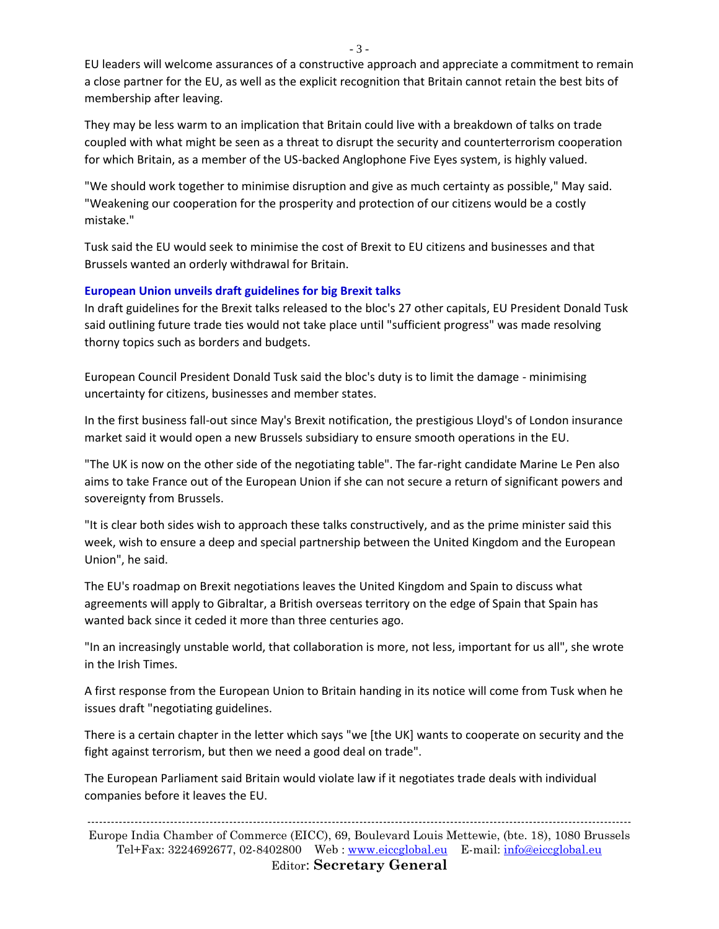EU leaders will welcome assurances of a constructive approach and appreciate a commitment to remain a close partner for the EU, as well as the explicit recognition that Britain cannot retain the best bits of membership after leaving.

They may be less warm to an implication that Britain could live with a breakdown of talks on trade coupled with what might be seen as a threat to disrupt the security and counterterrorism cooperation for which Britain, as a member of the US-backed Anglophone Five Eyes system, is highly valued.

"We should work together to minimise disruption and give as much certainty as possible," May said. "Weakening our cooperation for the prosperity and protection of our citizens would be a costly mistake."

Tusk said the EU would seek to minimise the cost of Brexit to EU citizens and businesses and that Brussels wanted an orderly withdrawal for Britain.

# **European Union unveils draft guidelines for big Brexit talks**

In draft guidelines for the Brexit talks released to the bloc's 27 other capitals, EU President Donald Tusk said outlining future trade ties would not take place until "sufficient progress" was made resolving thorny topics such as borders and budgets.

European Council President Donald Tusk said the bloc's duty is to limit the damage - minimising uncertainty for citizens, businesses and member states.

In the first business fall-out since May's Brexit notification, the prestigious Lloyd's of London insurance market said it would open a new Brussels subsidiary to ensure smooth operations in the EU.

"The UK is now on the other side of the negotiating table". The far-right candidate Marine Le Pen also aims to take France out of the European Union if she can not secure a return of significant powers and sovereignty from Brussels.

"It is clear both sides wish to approach these talks constructively, and as the prime minister said this week, wish to ensure a deep and special partnership between the United Kingdom and the European Union", he said.

The EU's roadmap on Brexit negotiations leaves the United Kingdom and Spain to discuss what agreements will apply to Gibraltar, a British overseas territory on the edge of Spain that Spain has wanted back since it ceded it more than three centuries ago.

"In an increasingly unstable world, that collaboration is more, not less, important for us all", she wrote in the Irish Times.

A first response from the European Union to Britain handing in its notice will come from Tusk when he issues draft "negotiating guidelines.

There is a certain chapter in the letter which says "we [the UK] wants to cooperate on security and the fight against terrorism, but then we need a good deal on trade".

The European Parliament said Britain would violate law if it negotiates trade deals with individual companies before it leaves the EU.

------------------------------------------------------------------------------------------------------------------------------------------ Europe India Chamber of Commerce (EICC), 69, Boulevard Louis Mettewie, (bte. 18), 1080 Brussels Tel+Fax: 3224692677, 02-8402800 Web : [www.eiccglobal.eu](http://www.eiccglobal.eu/) E-mail: [info@eiccglobal.eu](mailto:info@eiccglobal.eu) Editor: **Secretary General**

- 3 -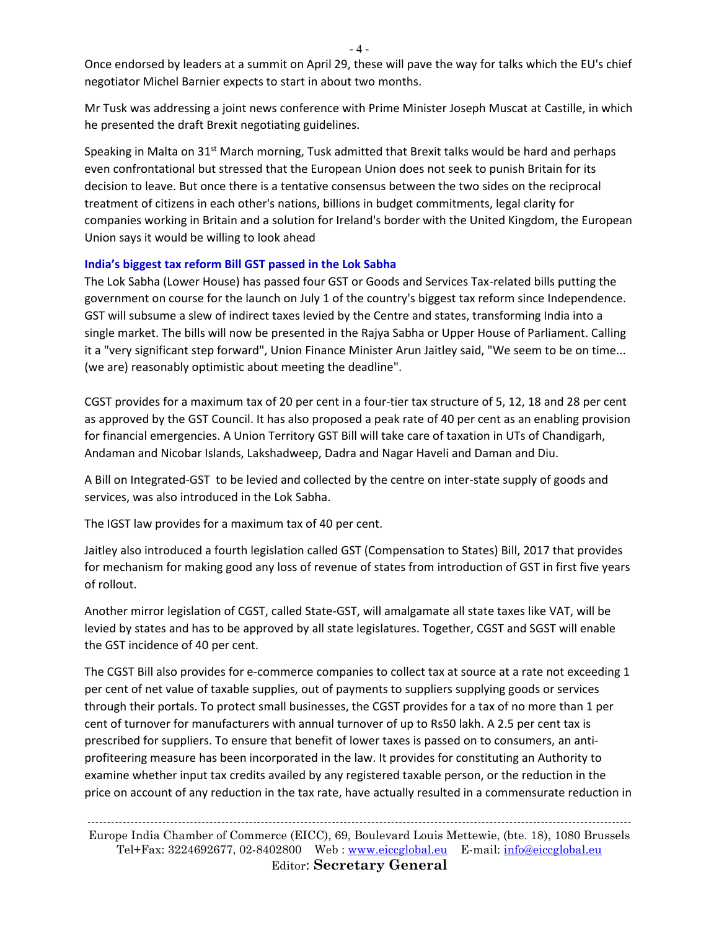Once endorsed by leaders at a summit on April 29, these will pave the way for talks which the EU's chief negotiator Michel Barnier expects to start in about two months.

Mr Tusk was addressing a joint news conference with Prime Minister Joseph Muscat at Castille, in which he presented the draft Brexit negotiating guidelines.

Speaking in Malta on  $31<sup>st</sup>$  March morning, Tusk admitted that Brexit talks would be hard and perhaps even confrontational but stressed that the European Union does not seek to punish Britain for its decision to leave. But once there is a tentative consensus between the two sides on the reciprocal treatment of citizens in each other's nations, billions in budget commitments, legal clarity for companies working in Britain and a solution for Ireland's border with the United Kingdom, the European Union says it would be willing to look ahead

#### **India's biggest tax reform Bill GST passed in the Lok Sabha**

The Lok Sabha (Lower House) has passed four GST or Goods and Services Tax-related bills putting the government on course for the launch on July 1 of the country's biggest tax reform since Independence. GST will subsume a slew of indirect taxes levied by the Centre and states, transforming India into a single market. The bills will now be presented in the Rajya Sabha or Upper House of Parliament. Calling it a "very significant step forward", Union Finance Minister Arun Jaitley said, "We seem to be on time... (we are) reasonably optimistic about meeting the deadline".

CGST provides for a maximum tax of 20 per cent in a four-tier tax structure of 5, 12, 18 and 28 per cent as approved by the GST Council. It has also proposed a peak rate of 40 per cent as an enabling provision for financial emergencies. A Union Territory GST Bill will take care of taxation in UTs of Chandigarh, Andaman and Nicobar Islands, Lakshadweep, Dadra and Nagar Haveli and Daman and Diu.

A Bill on Integrated-GST to be levied and collected by the centre on inter-state supply of goods and services, was also introduced in the Lok Sabha.

The IGST law provides for a maximum tax of 40 per cent.

Jaitley also introduced a fourth legislation called GST (Compensation to States) Bill, 2017 that provides for mechanism for making good any loss of revenue of states from introduction of GST in first five years of rollout.

Another mirror legislation of CGST, called State-GST, will amalgamate all state taxes like VAT, will be levied by states and has to be approved by all state legislatures. Together, CGST and SGST will enable the GST incidence of 40 per cent.

The CGST Bill also provides for e-commerce companies to collect tax at source at a rate not exceeding 1 per cent of net value of taxable supplies, out of payments to suppliers supplying goods or services through their portals. To protect small businesses, the CGST provides for a tax of no more than 1 per cent of turnover for manufacturers with annual turnover of up to Rs50 lakh. A 2.5 per cent tax is prescribed for suppliers. To ensure that benefit of lower taxes is passed on to consumers, an antiprofiteering measure has been incorporated in the law. It provides for constituting an Authority to examine whether input tax credits availed by any registered taxable person, or the reduction in the price on account of any reduction in the tax rate, have actually resulted in a commensurate reduction in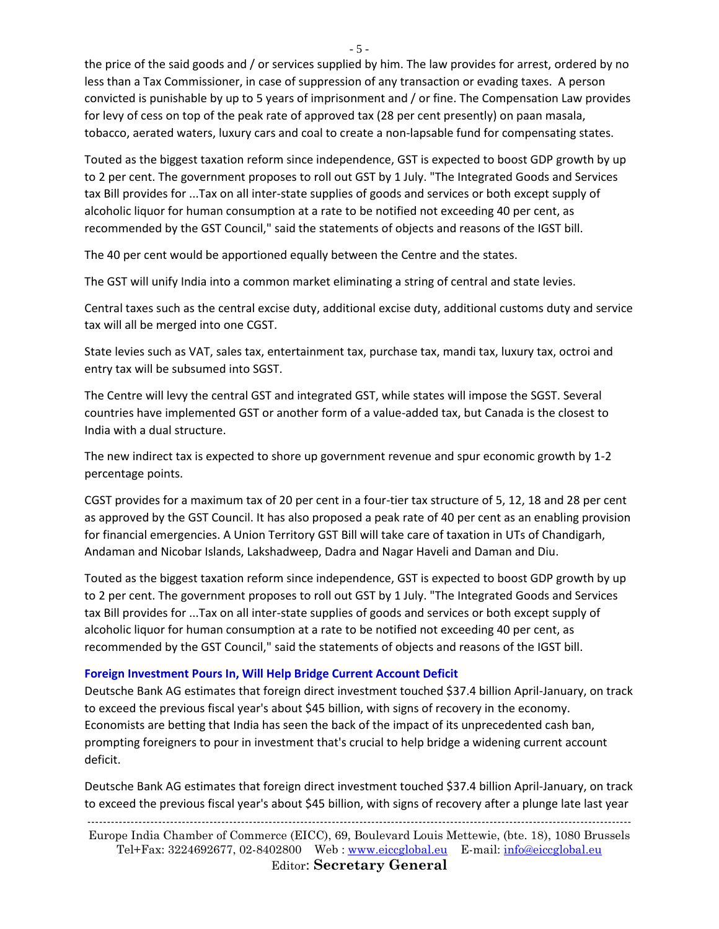the price of the said goods and / or services supplied by him. The law provides for arrest, ordered by no less than a Tax Commissioner, in case of suppression of any transaction or evading taxes. A person convicted is punishable by up to 5 years of imprisonment and / or fine. The Compensation Law provides for levy of cess on top of the peak rate of approved tax (28 per cent presently) on paan masala, tobacco, aerated waters, luxury cars and coal to create a non-lapsable fund for compensating states.

Touted as the biggest taxation reform since independence, GST is expected to boost GDP growth by up to 2 per cent. The government proposes to roll out GST by 1 July. "The Integrated Goods and Services tax Bill provides for ...Tax on all inter-state supplies of goods and services or both except supply of alcoholic liquor for human consumption at a rate to be notified not exceeding 40 per cent, as recommended by the GST Council," said the statements of objects and reasons of the IGST bill.

The 40 per cent would be apportioned equally between the Centre and the states.

The GST will unify India into a common market eliminating a string of central and state levies.

Central taxes such as the central excise duty, additional excise duty, additional customs duty and service tax will all be merged into one CGST.

State levies such as VAT, sales tax, entertainment tax, purchase tax, mandi tax, luxury tax, octroi and entry tax will be subsumed into SGST.

The Centre will levy the central GST and integrated GST, while states will impose the SGST. Several countries have implemented GST or another form of a value-added tax, but Canada is the closest to India with a dual structure.

The new indirect tax is expected to shore up government revenue and spur economic growth by 1-2 percentage points.

CGST provides for a maximum tax of 20 per cent in a four-tier tax structure of 5, 12, 18 and 28 per cent as approved by the GST Council. It has also proposed a peak rate of 40 per cent as an enabling provision for financial emergencies. A Union Territory GST Bill will take care of taxation in UTs of Chandigarh, Andaman and Nicobar Islands, Lakshadweep, Dadra and Nagar Haveli and Daman and Diu.

Touted as the biggest taxation reform since independence, GST is expected to boost GDP growth by up to 2 per cent. The government proposes to roll out GST by 1 July. "The Integrated Goods and Services tax Bill provides for ...Tax on all inter-state supplies of goods and services or both except supply of alcoholic liquor for human consumption at a rate to be notified not exceeding 40 per cent, as recommended by the GST Council," said the statements of objects and reasons of the IGST bill.

#### **Foreign Investment Pours In, Will Help Bridge Current Account Deficit**

Deutsche Bank AG estimates that foreign direct investment touched \$37.4 billion April-January, on track to exceed the previous fiscal year's about \$45 billion, with signs of recovery in the economy. Economists are betting that India has seen the back of the impact of its unprecedented cash ban, prompting foreigners to pour in investment that's crucial to help bridge a widening current account deficit.

Deutsche Bank AG estimates that foreign direct investment touched \$37.4 billion April-January, on track to exceed the previous fiscal year's about \$45 billion, with signs of recovery after a plunge late last year

------------------------------------------------------------------------------------------------------------------------------------------ Europe India Chamber of Commerce (EICC), 69, Boulevard Louis Mettewie, (bte. 18), 1080 Brussels Tel+Fax: 3224692677, 02-8402800 Web : [www.eiccglobal.eu](http://www.eiccglobal.eu/) E-mail: [info@eiccglobal.eu](mailto:info@eiccglobal.eu) Editor: **Secretary General**

- 5 -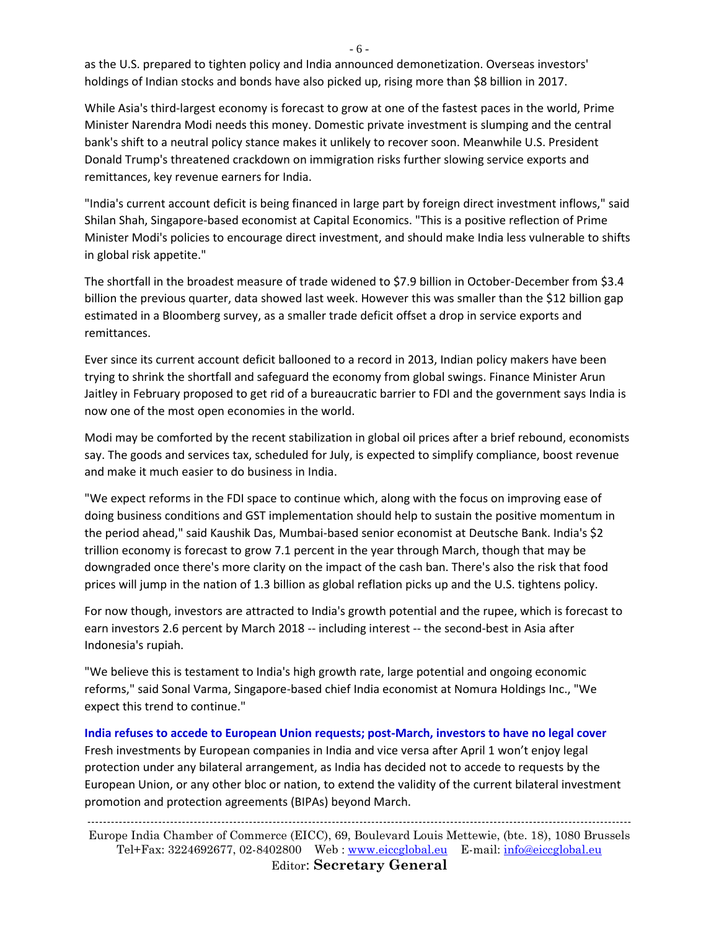- 6 -

as the U.S. prepared to tighten policy and India announced demonetization. Overseas investors' holdings of Indian stocks and bonds have also picked up, rising more than \$8 billion in 2017.

While Asia's third-largest economy is forecast to grow at one of the fastest paces in the world, Prime Minister Narendra Modi needs this money. Domestic private investment is slumping and the central bank's shift to a neutral policy stance makes it unlikely to recover soon. Meanwhile U.S. President Donald Trump's threatened crackdown on immigration risks further slowing service exports and remittances, key revenue earners for India.

"India's current account deficit is being financed in large part by foreign direct investment inflows," said Shilan Shah, Singapore-based economist at Capital Economics. "This is a positive reflection of Prime Minister Modi's policies to encourage direct investment, and should make India less vulnerable to shifts in global risk appetite."

The shortfall in the broadest measure of trade widened to \$7.9 billion in October-December from \$3.4 billion the previous quarter, data showed last week. However this was smaller than the \$12 billion gap estimated in a Bloomberg survey, as a smaller trade deficit offset a drop in service exports and remittances.

Ever since its current account deficit ballooned to a record in 2013, Indian policy makers have been trying to shrink the shortfall and safeguard the economy from global swings. Finance Minister Arun Jaitley in February proposed to get rid of a bureaucratic barrier to FDI and the government says India is now one of the most open economies in the world.

Modi may be comforted by the recent stabilization in global oil prices after a brief rebound, economists say. The goods and services tax, scheduled for July, is expected to simplify compliance, boost revenue and make it much easier to do business in India.

"We expect reforms in the FDI space to continue which, along with the focus on improving ease of doing business conditions and GST implementation should help to sustain the positive momentum in the period ahead," said Kaushik Das, Mumbai-based senior economist at Deutsche Bank. India's \$2 trillion economy is forecast to grow 7.1 percent in the year through March, though that may be downgraded once there's more clarity on the impact of the cash ban. There's also the risk that food prices will jump in the nation of 1.3 billion as global reflation picks up and the U.S. tightens policy.

For now though, investors are attracted to India's growth potential and the rupee, which is forecast to earn investors 2.6 percent by March 2018 -- including interest -- the second-best in Asia after Indonesia's rupiah.

"We believe this is testament to India's high growth rate, large potential and ongoing economic reforms," said Sonal Varma, Singapore-based chief India economist at Nomura Holdings Inc., "We expect this trend to continue."

**India refuses to accede to European Union requests; post-March, investors to have no legal cover** Fresh investments by European companies in India and vice versa after April 1 won't enjoy legal protection under any bilateral arrangement, as India has decided not to accede to requests by the European Union, or any other bloc or nation, to extend the validity of the current bilateral investment promotion and protection agreements (BIPAs) beyond March.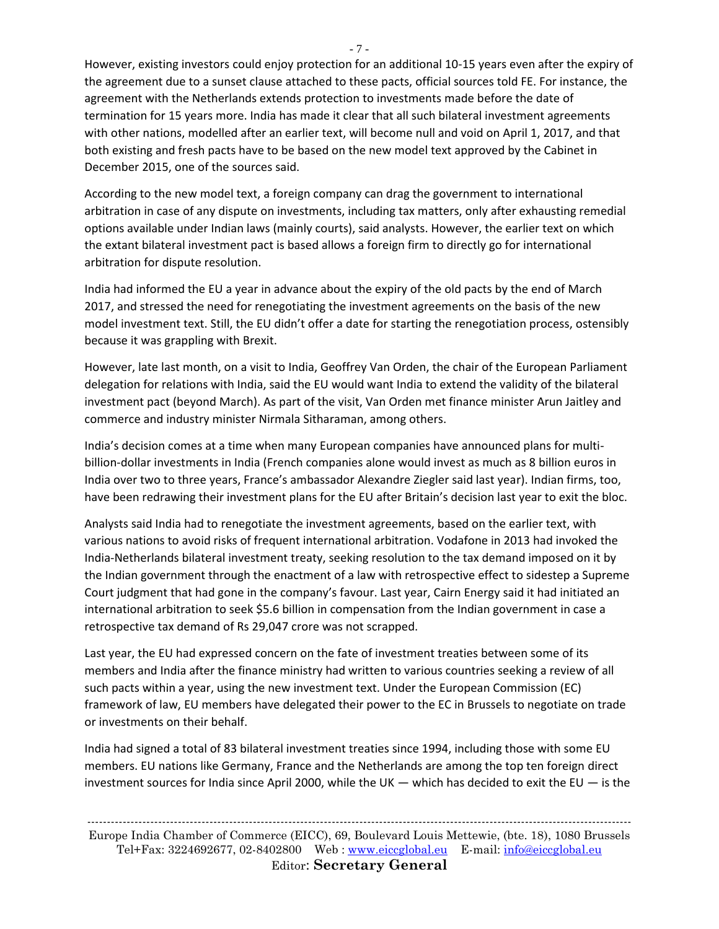However, existing investors could enjoy protection for an additional 10-15 years even after the expiry of the agreement due to a sunset clause attached to these pacts, official sources told FE. For instance, the agreement with the Netherlands extends protection to investments made before the date of termination for 15 years more. India has made it clear that all such bilateral investment agreements with other nations, modelled after an earlier text, will become null and void on April 1, 2017, and that both existing and fresh pacts have to be based on the new model text approved by the Cabinet in December 2015, one of the sources said.

According to the new model text, a foreign company can drag the government to international arbitration in case of any dispute on investments, including tax matters, only after exhausting remedial options available under Indian laws (mainly courts), said analysts. However, the earlier text on which the extant bilateral investment pact is based allows a foreign firm to directly go for international arbitration for dispute resolution.

India had informed the EU a year in advance about the expiry of the old pacts by the end of March 2017, and stressed the need for renegotiating the investment agreements on the basis of the new model investment text. Still, the EU didn't offer a date for starting the renegotiation process, ostensibly because it was grappling with Brexit.

However, late last month, on a visit to India, Geoffrey Van Orden, the chair of the European Parliament delegation for relations with India, said the EU would want India to extend the validity of the bilateral investment pact (beyond March). As part of the visit, Van Orden met finance minister Arun Jaitley and commerce and industry minister Nirmala Sitharaman, among others.

India's decision comes at a time when many European companies have announced plans for multibillion-dollar investments in India (French companies alone would invest as much as 8 billion euros in India over two to three years, France's ambassador Alexandre Ziegler said last year). Indian firms, too, have been redrawing their investment plans for the EU after Britain's decision last year to exit the bloc.

Analysts said India had to renegotiate the investment agreements, based on the earlier text, with various nations to avoid risks of frequent international arbitration. Vodafone in 2013 had invoked the India-Netherlands bilateral investment treaty, seeking resolution to the tax demand imposed on it by the Indian government through the enactment of a law with retrospective effect to sidestep a Supreme Court judgment that had gone in the company's favour. Last year, Cairn Energy said it had initiated an international arbitration to seek \$5.6 billion in compensation from the Indian government in case a retrospective tax demand of Rs 29,047 crore was not scrapped.

Last year, the EU had expressed concern on the fate of investment treaties between some of its members and India after the finance ministry had written to various countries seeking a review of all such pacts within a year, using the new investment text. Under the European Commission (EC) framework of law, EU members have delegated their power to the EC in Brussels to negotiate on trade or investments on their behalf.

India had signed a total of 83 bilateral investment treaties since 1994, including those with some EU members. EU nations like Germany, France and the Netherlands are among the top ten foreign direct investment sources for India since April 2000, while the UK  $-$  which has decided to exit the EU  $-$  is the

- 7 -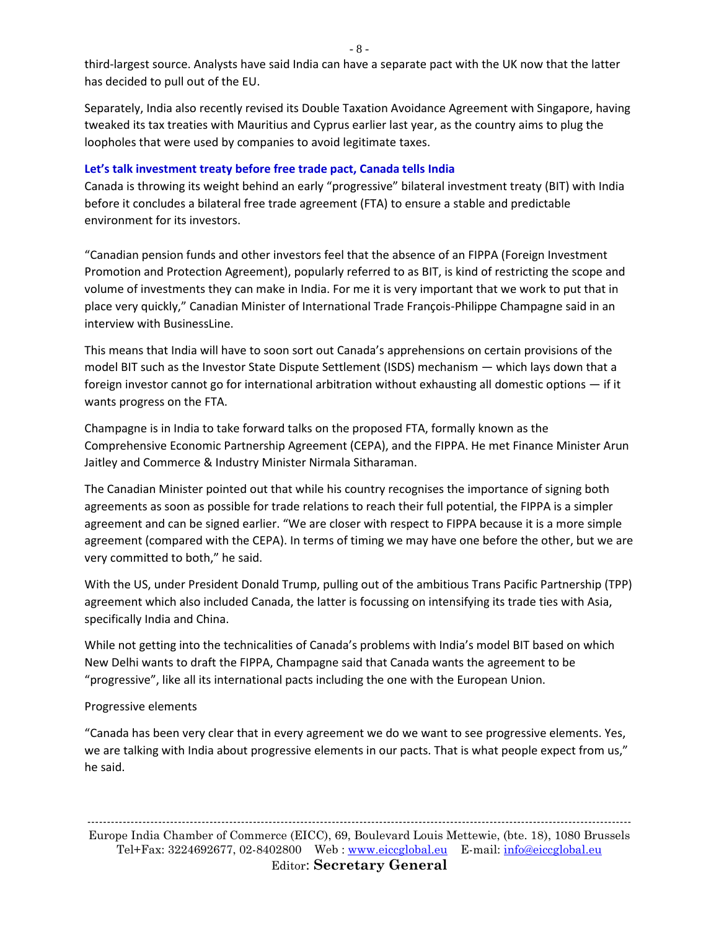third-largest source. Analysts have said India can have a separate pact with the UK now that the latter has decided to pull out of the EU.

Separately, India also recently revised its Double Taxation Avoidance Agreement with Singapore, having tweaked its tax treaties with Mauritius and Cyprus earlier last year, as the country aims to plug the loopholes that were used by companies to avoid legitimate taxes.

#### **Let's talk investment treaty before free trade pact, Canada tells India**

Canada is throwing its weight behind an early "progressive" bilateral investment treaty (BIT) with India before it concludes a bilateral free trade agreement (FTA) to ensure a stable and predictable environment for its investors.

"Canadian pension funds and other investors feel that the absence of an FIPPA (Foreign Investment Promotion and Protection Agreement), popularly referred to as BIT, is kind of restricting the scope and volume of investments they can make in India. For me it is very important that we work to put that in place very quickly," Canadian Minister of International Trade François-Philippe Champagne said in an interview with BusinessLine.

This means that India will have to soon sort out Canada's apprehensions on certain provisions of the model BIT such as the Investor State Dispute Settlement (ISDS) mechanism — which lays down that a foreign investor cannot go for international arbitration without exhausting all domestic options — if it wants progress on the FTA.

Champagne is in India to take forward talks on the proposed FTA, formally known as the Comprehensive Economic Partnership Agreement (CEPA), and the FIPPA. He met Finance Minister Arun Jaitley and Commerce & Industry Minister Nirmala Sitharaman.

The Canadian Minister pointed out that while his country recognises the importance of signing both agreements as soon as possible for trade relations to reach their full potential, the FIPPA is a simpler agreement and can be signed earlier. "We are closer with respect to FIPPA because it is a more simple agreement (compared with the CEPA). In terms of timing we may have one before the other, but we are very committed to both," he said.

With the US, under President Donald Trump, pulling out of the ambitious Trans Pacific Partnership (TPP) agreement which also included Canada, the latter is focussing on intensifying its trade ties with Asia, specifically India and China.

While not getting into the technicalities of Canada's problems with India's model BIT based on which New Delhi wants to draft the FIPPA, Champagne said that Canada wants the agreement to be "progressive", like all its international pacts including the one with the European Union.

#### Progressive elements

"Canada has been very clear that in every agreement we do we want to see progressive elements. Yes, we are talking with India about progressive elements in our pacts. That is what people expect from us," he said.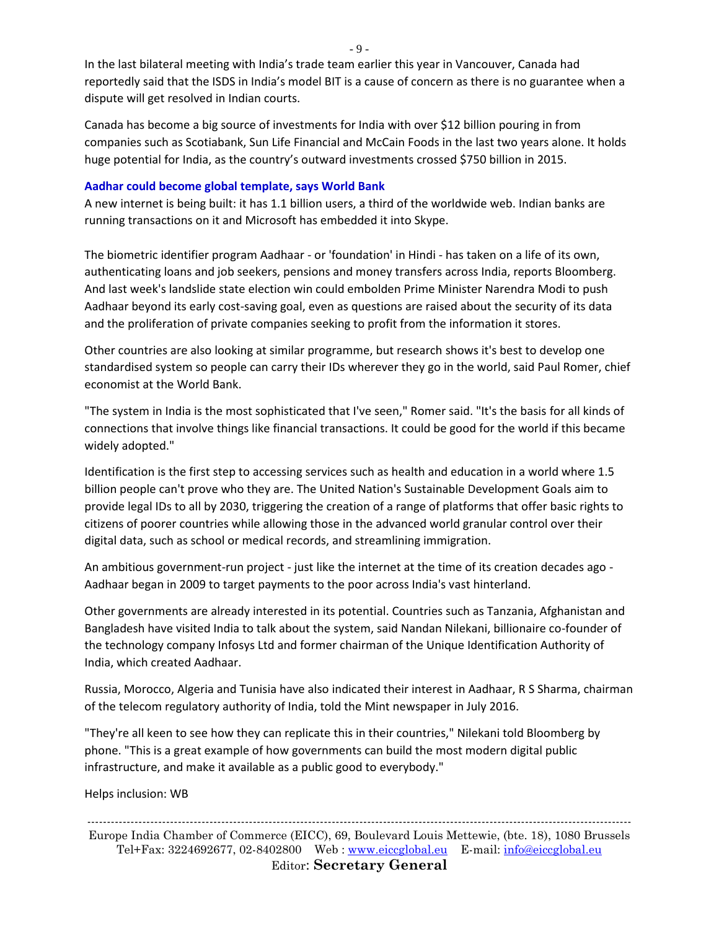In the last bilateral meeting with India's trade team earlier this year in Vancouver, Canada had reportedly said that the ISDS in India's model BIT is a cause of concern as there is no guarantee when a dispute will get resolved in Indian courts.

Canada has become a big source of investments for India with over \$12 billion pouring in from companies such as Scotiabank, Sun Life Financial and McCain Foods in the last two years alone. It holds huge potential for India, as the country's outward investments crossed \$750 billion in 2015.

#### **Aadhar could become global template, says World Bank**

A new internet is being built: it has 1.1 billion users, a third of the worldwide web. Indian banks are running transactions on it and Microsoft has embedded it into Skype.

The biometric identifier program Aadhaar - or 'foundation' in Hindi - has taken on a life of its own, authenticating loans and job seekers, pensions and money transfers across India, reports Bloomberg. And last week's landslide state election win could embolden Prime Minister Narendra Modi to push Aadhaar beyond its early cost-saving goal, even as questions are raised about the security of its data and the proliferation of private companies seeking to profit from the information it stores.

Other countries are also looking at similar programme, but research shows it's best to develop one standardised system so people can carry their IDs wherever they go in the world, said Paul Romer, chief economist at the World Bank.

"The system in India is the most sophisticated that I've seen," Romer said. "It's the basis for all kinds of connections that involve things like financial transactions. It could be good for the world if this became widely adopted."

Identification is the first step to accessing services such as health and education in a world where 1.5 billion people can't prove who they are. The United Nation's Sustainable Development Goals aim to provide legal IDs to all by 2030, triggering the creation of a range of platforms that offer basic rights to citizens of poorer countries while allowing those in the advanced world granular control over their digital data, such as school or medical records, and streamlining immigration.

An ambitious government-run project - just like the internet at the time of its creation decades ago - Aadhaar began in 2009 to target payments to the poor across India's vast hinterland.

Other governments are already interested in its potential. Countries such as Tanzania, Afghanistan and Bangladesh have visited India to talk about the system, said Nandan Nilekani, billionaire co-founder of the technology company Infosys Ltd and former chairman of the Unique Identification Authority of India, which created Aadhaar.

Russia, Morocco, Algeria and Tunisia have also indicated their interest in Aadhaar, R S Sharma, chairman of the telecom regulatory authority of India, told the Mint newspaper in July 2016.

"They're all keen to see how they can replicate this in their countries," Nilekani told Bloomberg by phone. "This is a great example of how governments can build the most modern digital public infrastructure, and make it available as a public good to everybody."

Helps inclusion: WB

------------------------------------------------------------------------------------------------------------------------------------------ Europe India Chamber of Commerce (EICC), 69, Boulevard Louis Mettewie, (bte. 18), 1080 Brussels Tel+Fax: 3224692677, 02-8402800 Web : [www.eiccglobal.eu](http://www.eiccglobal.eu/) E-mail: [info@eiccglobal.eu](mailto:info@eiccglobal.eu) Editor: **Secretary General**

- 9 -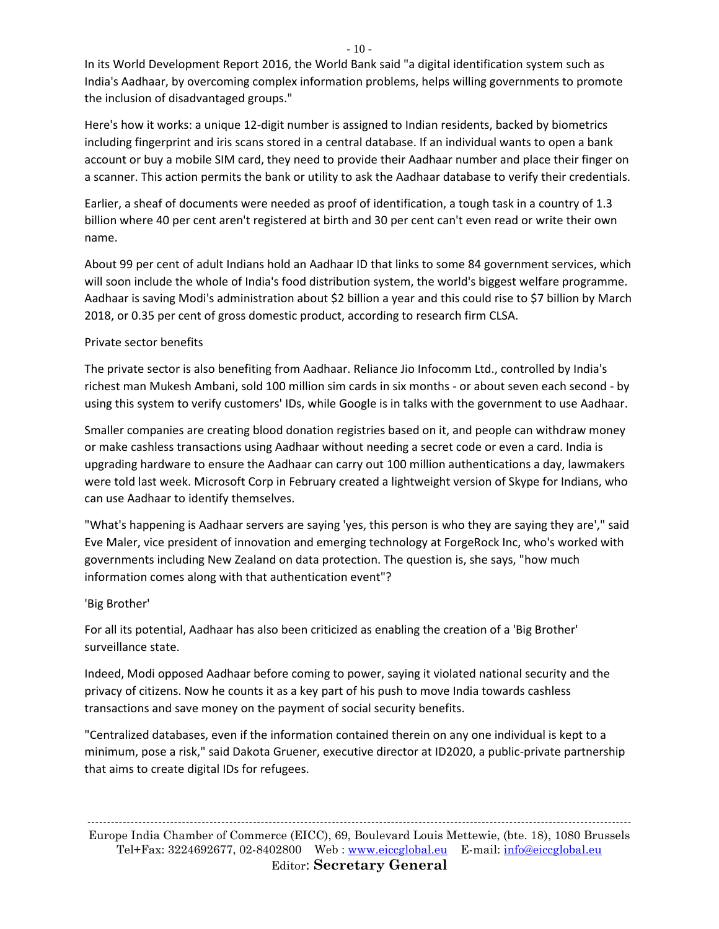In its World Development Report 2016, the World Bank said "a digital identification system such as India's Aadhaar, by overcoming complex information problems, helps willing governments to promote the inclusion of disadvantaged groups."

Here's how it works: a unique 12-digit number is assigned to Indian residents, backed by biometrics including fingerprint and iris scans stored in a central database. If an individual wants to open a bank account or buy a mobile SIM card, they need to provide their Aadhaar number and place their finger on a scanner. This action permits the bank or utility to ask the Aadhaar database to verify their credentials.

Earlier, a sheaf of documents were needed as proof of identification, a tough task in a country of 1.3 billion where 40 per cent aren't registered at birth and 30 per cent can't even read or write their own name.

About 99 per cent of adult Indians hold an Aadhaar ID that links to some 84 government services, which will soon include the whole of India's food distribution system, the world's biggest welfare programme. Aadhaar is saving Modi's administration about \$2 billion a year and this could rise to \$7 billion by March 2018, or 0.35 per cent of gross domestic product, according to research firm CLSA.

# Private sector benefits

The private sector is also benefiting from Aadhaar. Reliance Jio Infocomm Ltd., controlled by India's richest man Mukesh Ambani, sold 100 million sim cards in six months - or about seven each second - by using this system to verify customers' IDs, while Google is in talks with the government to use Aadhaar.

Smaller companies are creating blood donation registries based on it, and people can withdraw money or make cashless transactions using Aadhaar without needing a secret code or even a card. India is upgrading hardware to ensure the Aadhaar can carry out 100 million authentications a day, lawmakers were told last week. Microsoft Corp in February created a lightweight version of Skype for Indians, who can use Aadhaar to identify themselves.

"What's happening is Aadhaar servers are saying 'yes, this person is who they are saying they are'," said Eve Maler, vice president of innovation and emerging technology at ForgeRock Inc, who's worked with governments including New Zealand on data protection. The question is, she says, "how much information comes along with that authentication event"?

# 'Big Brother'

For all its potential, Aadhaar has also been criticized as enabling the creation of a 'Big Brother' surveillance state.

Indeed, Modi opposed Aadhaar before coming to power, saying it violated national security and the privacy of citizens. Now he counts it as a key part of his push to move India towards cashless transactions and save money on the payment of social security benefits.

"Centralized databases, even if the information contained therein on any one individual is kept to a minimum, pose a risk," said Dakota Gruener, executive director at ID2020, a public-private partnership that aims to create digital IDs for refugees.

 $-10-$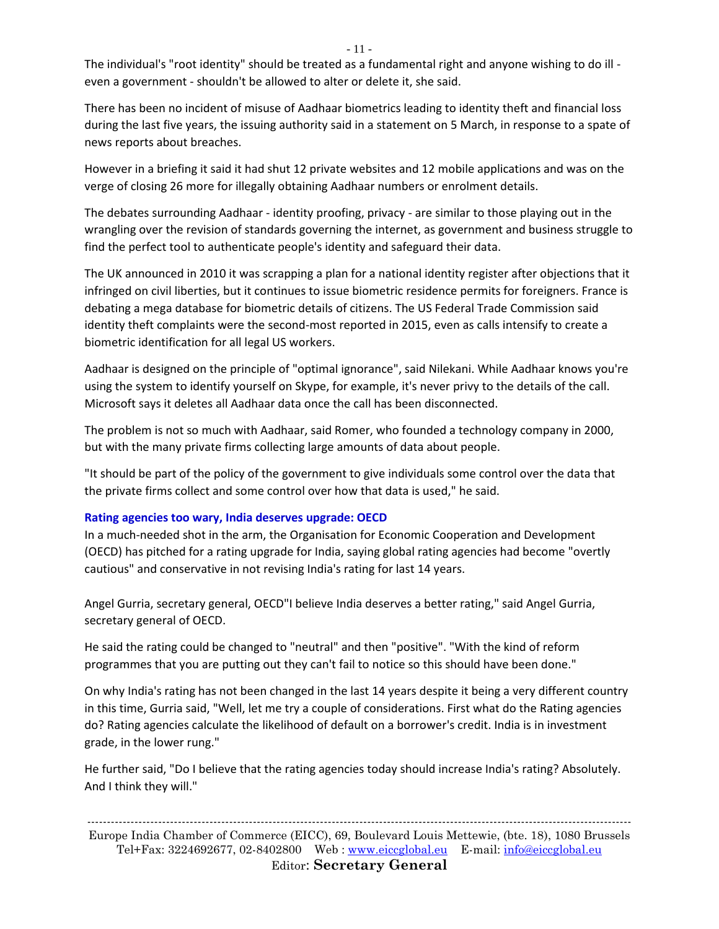The individual's "root identity" should be treated as a fundamental right and anyone wishing to do ill even a government - shouldn't be allowed to alter or delete it, she said.

There has been no incident of misuse of Aadhaar biometrics leading to identity theft and financial loss during the last five years, the issuing authority said in a statement on 5 March, in response to a spate of news reports about breaches.

However in a briefing it said it had shut 12 private websites and 12 mobile applications and was on the verge of closing 26 more for illegally obtaining Aadhaar numbers or enrolment details.

The debates surrounding Aadhaar - identity proofing, privacy - are similar to those playing out in the wrangling over the revision of standards governing the internet, as government and business struggle to find the perfect tool to authenticate people's identity and safeguard their data.

The UK announced in 2010 it was scrapping a plan for a national identity register after objections that it infringed on civil liberties, but it continues to issue biometric residence permits for foreigners. France is debating a mega database for biometric details of citizens. The US Federal Trade Commission said identity theft complaints were the second-most reported in 2015, even as calls intensify to create a biometric identification for all legal US workers.

Aadhaar is designed on the principle of "optimal ignorance", said Nilekani. While Aadhaar knows you're using the system to identify yourself on Skype, for example, it's never privy to the details of the call. Microsoft says it deletes all Aadhaar data once the call has been disconnected.

The problem is not so much with Aadhaar, said Romer, who founded a technology company in 2000, but with the many private firms collecting large amounts of data about people.

"It should be part of the policy of the government to give individuals some control over the data that the private firms collect and some control over how that data is used," he said.

#### **Rating agencies too wary, India deserves upgrade: OECD**

In a much-needed shot in the arm, the Organisation for Economic Cooperation and Development (OECD) has pitched for a rating upgrade for India, saying global rating agencies had become "overtly cautious" and conservative in not revising India's rating for last 14 years.

Angel Gurria, secretary general, OECD"I believe India deserves a better rating," said Angel Gurria, secretary general of OECD.

He said the rating could be changed to "neutral" and then "positive". "With the kind of reform programmes that you are putting out they can't fail to notice so this should have been done."

On why India's rating has not been changed in the last 14 years despite it being a very different country in this time, Gurria said, "Well, let me try a couple of considerations. First what do the Rating agencies do? Rating agencies calculate the likelihood of default on a borrower's credit. India is in investment grade, in the lower rung."

He further said, "Do I believe that the rating agencies today should increase India's rating? Absolutely. And I think they will."

- 11 -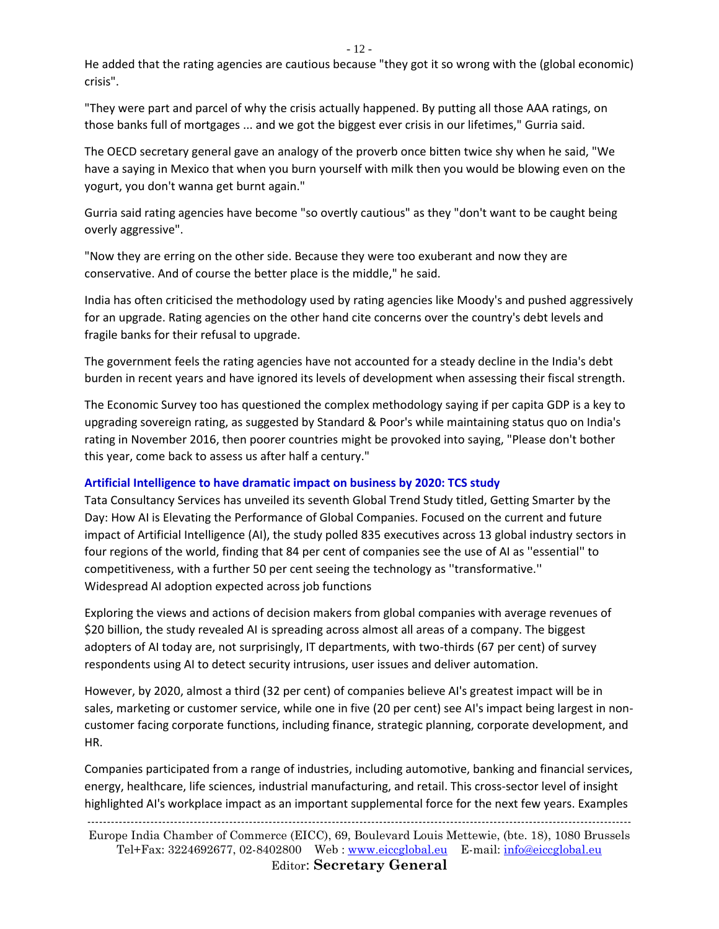- 12 -

He added that the rating agencies are cautious because "they got it so wrong with the (global economic) crisis".

"They were part and parcel of why the crisis actually happened. By putting all those AAA ratings, on those banks full of mortgages ... and we got the biggest ever crisis in our lifetimes," Gurria said.

The OECD secretary general gave an analogy of the proverb once bitten twice shy when he said, "We have a saying in Mexico that when you burn yourself with milk then you would be blowing even on the yogurt, you don't wanna get burnt again."

Gurria said rating agencies have become "so overtly cautious" as they "don't want to be caught being overly aggressive".

"Now they are erring on the other side. Because they were too exuberant and now they are conservative. And of course the better place is the middle," he said.

India has often criticised the methodology used by rating agencies like Moody's and pushed aggressively for an upgrade. Rating agencies on the other hand cite concerns over the country's debt levels and fragile banks for their refusal to upgrade.

The government feels the rating agencies have not accounted for a steady decline in the India's debt burden in recent years and have ignored its levels of development when assessing their fiscal strength.

The Economic Survey too has questioned the complex methodology saying if per capita GDP is a key to upgrading sovereign rating, as suggested by Standard & Poor's while maintaining status quo on India's rating in November 2016, then poorer countries might be provoked into saying, "Please don't bother this year, come back to assess us after half a century."

#### **Artificial Intelligence to have dramatic impact on business by 2020: TCS study**

Tata Consultancy Services has unveiled its seventh Global Trend Study titled, Getting Smarter by the Day: How AI is Elevating the Performance of Global Companies. Focused on the current and future impact of Artificial Intelligence (AI), the study polled 835 executives across 13 global industry sectors in four regions of the world, finding that 84 per cent of companies see the use of AI as ''essential'' to competitiveness, with a further 50 per cent seeing the technology as ''transformative.'' Widespread AI adoption expected across job functions

Exploring the views and actions of decision makers from global companies with average revenues of \$20 billion, the study revealed AI is spreading across almost all areas of a company. The biggest adopters of AI today are, not surprisingly, IT departments, with two-thirds (67 per cent) of survey respondents using AI to detect security intrusions, user issues and deliver automation.

However, by 2020, almost a third (32 per cent) of companies believe AI's greatest impact will be in sales, marketing or customer service, while one in five (20 per cent) see AI's impact being largest in noncustomer facing corporate functions, including finance, strategic planning, corporate development, and HR.

Companies participated from a range of industries, including automotive, banking and financial services, energy, healthcare, life sciences, industrial manufacturing, and retail. This cross-sector level of insight highlighted AI's workplace impact as an important supplemental force for the next few years. Examples

------------------------------------------------------------------------------------------------------------------------------------------ Europe India Chamber of Commerce (EICC), 69, Boulevard Louis Mettewie, (bte. 18), 1080 Brussels Tel+Fax: 3224692677, 02-8402800 Web : [www.eiccglobal.eu](http://www.eiccglobal.eu/) E-mail: [info@eiccglobal.eu](mailto:info@eiccglobal.eu)

Editor: **Secretary General**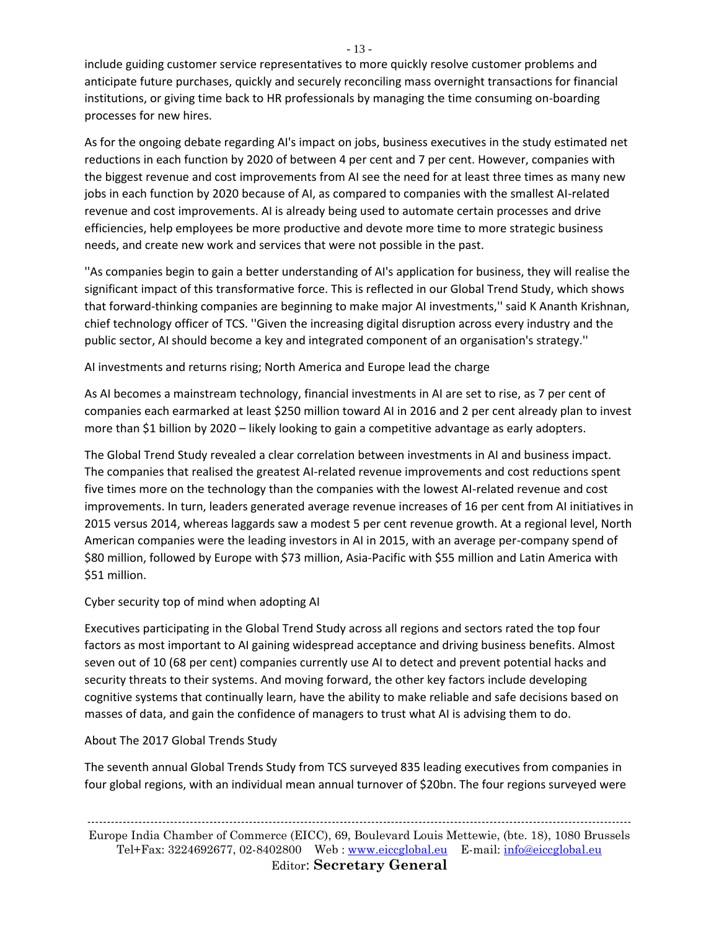include guiding customer service representatives to more quickly resolve customer problems and anticipate future purchases, quickly and securely reconciling mass overnight transactions for financial institutions, or giving time back to HR professionals by managing the time consuming on-boarding processes for new hires.

As for the ongoing debate regarding AI's impact on jobs, business executives in the study estimated net reductions in each function by 2020 of between 4 per cent and 7 per cent. However, companies with the biggest revenue and cost improvements from AI see the need for at least three times as many new jobs in each function by 2020 because of AI, as compared to companies with the smallest AI-related revenue and cost improvements. AI is already being used to automate certain processes and drive efficiencies, help employees be more productive and devote more time to more strategic business needs, and create new work and services that were not possible in the past.

''As companies begin to gain a better understanding of AI's application for business, they will realise the significant impact of this transformative force. This is reflected in our Global Trend Study, which shows that forward-thinking companies are beginning to make major AI investments,'' said K Ananth Krishnan, chief technology officer of TCS. ''Given the increasing digital disruption across every industry and the public sector, AI should become a key and integrated component of an organisation's strategy.''

AI investments and returns rising; North America and Europe lead the charge

As AI becomes a mainstream technology, financial investments in AI are set to rise, as 7 per cent of companies each earmarked at least \$250 million toward AI in 2016 and 2 per cent already plan to invest more than \$1 billion by 2020 – likely looking to gain a competitive advantage as early adopters.

The Global Trend Study revealed a clear correlation between investments in AI and business impact. The companies that realised the greatest AI-related revenue improvements and cost reductions spent five times more on the technology than the companies with the lowest AI-related revenue and cost improvements. In turn, leaders generated average revenue increases of 16 per cent from AI initiatives in 2015 versus 2014, whereas laggards saw a modest 5 per cent revenue growth. At a regional level, North American companies were the leading investors in AI in 2015, with an average per-company spend of \$80 million, followed by Europe with \$73 million, Asia-Pacific with \$55 million and Latin America with \$51 million.

Cyber security top of mind when adopting AI

Executives participating in the Global Trend Study across all regions and sectors rated the top four factors as most important to AI gaining widespread acceptance and driving business benefits. Almost seven out of 10 (68 per cent) companies currently use AI to detect and prevent potential hacks and security threats to their systems. And moving forward, the other key factors include developing cognitive systems that continually learn, have the ability to make reliable and safe decisions based on masses of data, and gain the confidence of managers to trust what AI is advising them to do.

# About The 2017 Global Trends Study

The seventh annual Global Trends Study from TCS surveyed 835 leading executives from companies in four global regions, with an individual mean annual turnover of \$20bn. The four regions surveyed were

------------------------------------------------------------------------------------------------------------------------------------------ Europe India Chamber of Commerce (EICC), 69, Boulevard Louis Mettewie, (bte. 18), 1080 Brussels Tel+Fax: 3224692677, 02-8402800 Web : [www.eiccglobal.eu](http://www.eiccglobal.eu/) E-mail: [info@eiccglobal.eu](mailto:info@eiccglobal.eu) Editor: **Secretary General**

- 13 -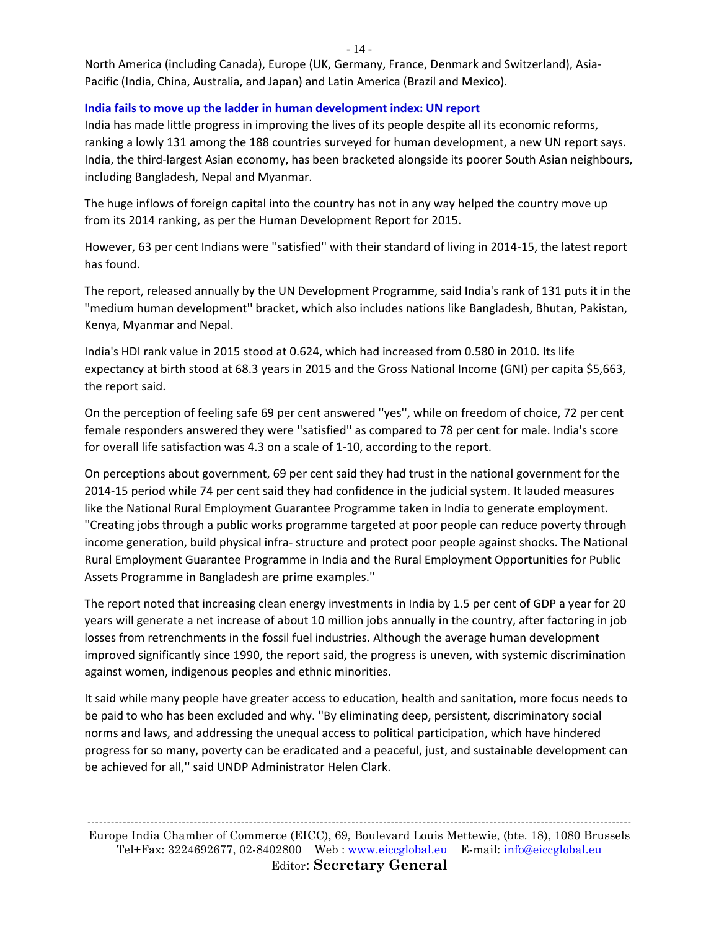North America (including Canada), Europe (UK, Germany, France, Denmark and Switzerland), Asia-Pacific (India, China, Australia, and Japan) and Latin America (Brazil and Mexico).

# **India fails to move up the ladder in human development index: UN report**

India has made little progress in improving the lives of its people despite all its economic reforms, ranking a lowly 131 among the 188 countries surveyed for human development, a new UN report says. India, the third-largest Asian economy, has been bracketed alongside its poorer South Asian neighbours, including Bangladesh, Nepal and Myanmar.

The huge inflows of foreign capital into the country has not in any way helped the country move up from its 2014 ranking, as per the Human Development Report for 2015.

However, 63 per cent Indians were ''satisfied'' with their standard of living in 2014-15, the latest report has found.

The report, released annually by the UN Development Programme, said India's rank of 131 puts it in the ''medium human development'' bracket, which also includes nations like Bangladesh, Bhutan, Pakistan, Kenya, Myanmar and Nepal.

India's HDI rank value in 2015 stood at 0.624, which had increased from 0.580 in 2010. Its life expectancy at birth stood at 68.3 years in 2015 and the Gross National Income (GNI) per capita \$5,663, the report said.

On the perception of feeling safe 69 per cent answered ''yes'', while on freedom of choice, 72 per cent female responders answered they were ''satisfied'' as compared to 78 per cent for male. India's score for overall life satisfaction was 4.3 on a scale of 1-10, according to the report.

On perceptions about government, 69 per cent said they had trust in the national government for the 2014-15 period while 74 per cent said they had confidence in the judicial system. It lauded measures like the National Rural Employment Guarantee Programme taken in India to generate employment. ''Creating jobs through a public works programme targeted at poor people can reduce poverty through income generation, build physical infra- structure and protect poor people against shocks. The National Rural Employment Guarantee Programme in India and the Rural Employment Opportunities for Public Assets Programme in Bangladesh are prime examples.''

The report noted that increasing clean energy investments in India by 1.5 per cent of GDP a year for 20 years will generate a net increase of about 10 million jobs annually in the country, after factoring in job losses from retrenchments in the fossil fuel industries. Although the average human development improved significantly since 1990, the report said, the progress is uneven, with systemic discrimination against women, indigenous peoples and ethnic minorities.

It said while many people have greater access to education, health and sanitation, more focus needs to be paid to who has been excluded and why. ''By eliminating deep, persistent, discriminatory social norms and laws, and addressing the unequal access to political participation, which have hindered progress for so many, poverty can be eradicated and a peaceful, just, and sustainable development can be achieved for all,'' said UNDP Administrator Helen Clark.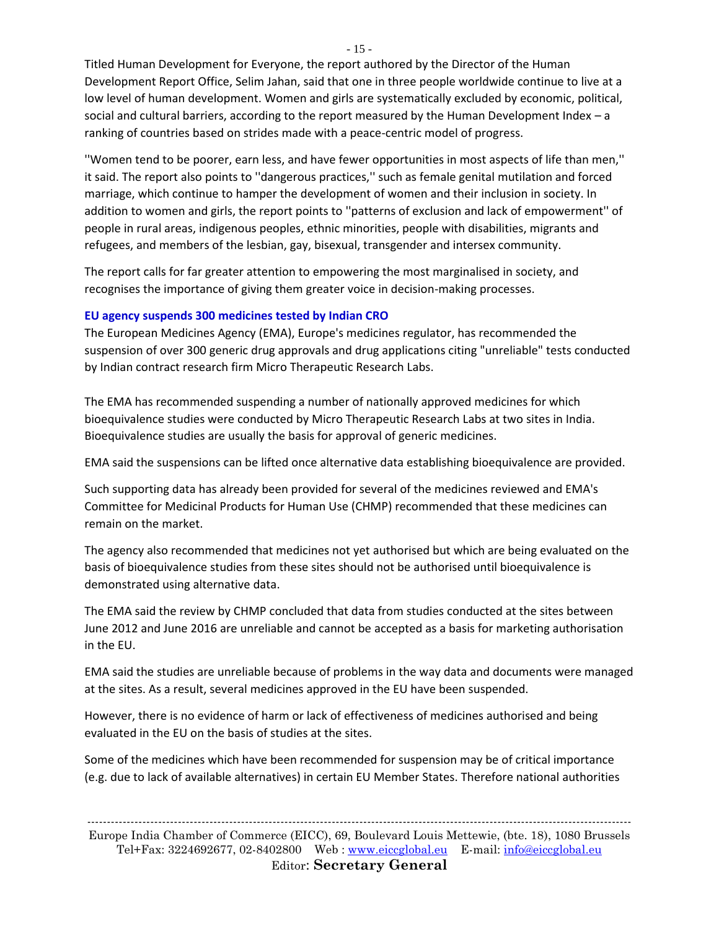Titled Human Development for Everyone, the report authored by the Director of the Human Development Report Office, Selim Jahan, said that one in three people worldwide continue to live at a low level of human development. Women and girls are systematically excluded by economic, political, social and cultural barriers, according to the report measured by the Human Development Index – a ranking of countries based on strides made with a peace-centric model of progress.

''Women tend to be poorer, earn less, and have fewer opportunities in most aspects of life than men,'' it said. The report also points to ''dangerous practices,'' such as female genital mutilation and forced marriage, which continue to hamper the development of women and their inclusion in society. In addition to women and girls, the report points to ''patterns of exclusion and lack of empowerment'' of people in rural areas, indigenous peoples, ethnic minorities, people with disabilities, migrants and refugees, and members of the lesbian, gay, bisexual, transgender and intersex community.

The report calls for far greater attention to empowering the most marginalised in society, and recognises the importance of giving them greater voice in decision-making processes.

### **EU agency suspends 300 medicines tested by Indian CRO**

The European Medicines Agency (EMA), Europe's medicines regulator, has recommended the suspension of over 300 generic drug approvals and drug applications citing "unreliable" tests conducted by Indian contract research firm Micro Therapeutic Research Labs.

The EMA has recommended suspending a number of nationally approved medicines for which bioequivalence studies were conducted by Micro Therapeutic Research Labs at two sites in India. Bioequivalence studies are usually the basis for approval of generic medicines.

EMA said the suspensions can be lifted once alternative data establishing bioequivalence are provided.

Such supporting data has already been provided for several of the medicines reviewed and EMA's Committee for Medicinal Products for Human Use (CHMP) recommended that these medicines can remain on the market.

The agency also recommended that medicines not yet authorised but which are being evaluated on the basis of bioequivalence studies from these sites should not be authorised until bioequivalence is demonstrated using alternative data.

The EMA said the review by CHMP concluded that data from studies conducted at the sites between June 2012 and June 2016 are unreliable and cannot be accepted as a basis for marketing authorisation in the EU.

EMA said the studies are unreliable because of problems in the way data and documents were managed at the sites. As a result, several medicines approved in the EU have been suspended.

However, there is no evidence of harm or lack of effectiveness of medicines authorised and being evaluated in the EU on the basis of studies at the sites.

Some of the medicines which have been recommended for suspension may be of critical importance (e.g. due to lack of available alternatives) in certain EU Member States. Therefore national authorities

------------------------------------------------------------------------------------------------------------------------------------------ Europe India Chamber of Commerce (EICC), 69, Boulevard Louis Mettewie, (bte. 18), 1080 Brussels Tel+Fax: 3224692677, 02-8402800 Web : [www.eiccglobal.eu](http://www.eiccglobal.eu/) E-mail: [info@eiccglobal.eu](mailto:info@eiccglobal.eu) Editor: **Secretary General**

- 15 -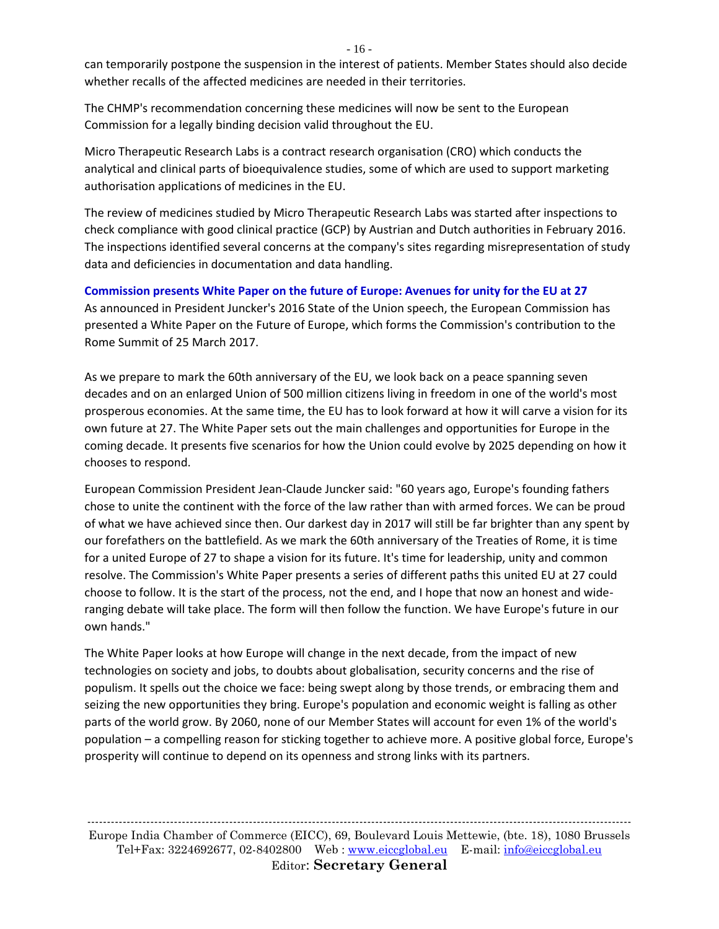can temporarily postpone the suspension in the interest of patients. Member States should also decide whether recalls of the affected medicines are needed in their territories.

The CHMP's recommendation concerning these medicines will now be sent to the European Commission for a legally binding decision valid throughout the EU.

Micro Therapeutic Research Labs is a contract research organisation (CRO) which conducts the analytical and clinical parts of bioequivalence studies, some of which are used to support marketing authorisation applications of medicines in the EU.

The review of medicines studied by Micro Therapeutic Research Labs was started after inspections to check compliance with good clinical practice (GCP) by Austrian and Dutch authorities in February 2016. The inspections identified several concerns at the company's sites regarding misrepresentation of study data and deficiencies in documentation and data handling.

**Commission presents White Paper on the future of Europe: Avenues for unity for the EU at 27** As announced in President Juncker's 2016 State of the Union speech, the European Commission has presented a White Paper on the Future of Europe, which forms the Commission's contribution to the Rome Summit of 25 March 2017.

As we prepare to mark the 60th anniversary of the EU, we look back on a peace spanning seven decades and on an enlarged Union of 500 million citizens living in freedom in one of the world's most prosperous economies. At the same time, the EU has to look forward at how it will carve a vision for its own future at 27. The White Paper sets out the main challenges and opportunities for Europe in the coming decade. It presents five scenarios for how the Union could evolve by 2025 depending on how it chooses to respond.

European Commission President Jean-Claude Juncker said: "60 years ago, Europe's founding fathers chose to unite the continent with the force of the law rather than with armed forces. We can be proud of what we have achieved since then. Our darkest day in 2017 will still be far brighter than any spent by our forefathers on the battlefield. As we mark the 60th anniversary of the Treaties of Rome, it is time for a united Europe of 27 to shape a vision for its future. It's time for leadership, unity and common resolve. The Commission's White Paper presents a series of different paths this united EU at 27 could choose to follow. It is the start of the process, not the end, and I hope that now an honest and wideranging debate will take place. The form will then follow the function. We have Europe's future in our own hands."

The White Paper looks at how Europe will change in the next decade, from the impact of new technologies on society and jobs, to doubts about globalisation, security concerns and the rise of populism. It spells out the choice we face: being swept along by those trends, or embracing them and seizing the new opportunities they bring. Europe's population and economic weight is falling as other parts of the world grow. By 2060, none of our Member States will account for even 1% of the world's population – a compelling reason for sticking together to achieve more. A positive global force, Europe's prosperity will continue to depend on its openness and strong links with its partners.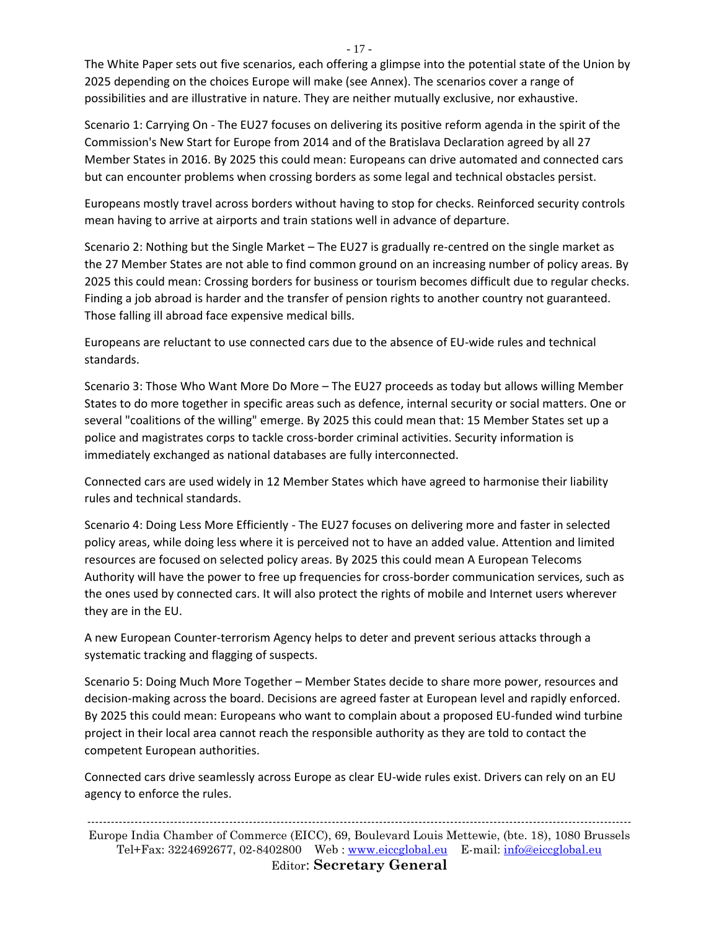The White Paper sets out five scenarios, each offering a glimpse into the potential state of the Union by 2025 depending on the choices Europe will make (see Annex). The scenarios cover a range of possibilities and are illustrative in nature. They are neither mutually exclusive, nor exhaustive.

Scenario 1: Carrying On - The EU27 focuses on delivering its positive reform agenda in the spirit of the Commission's New Start for Europe from 2014 and of the Bratislava Declaration agreed by all 27 Member States in 2016. By 2025 this could mean: Europeans can drive automated and connected cars but can encounter problems when crossing borders as some legal and technical obstacles persist.

Europeans mostly travel across borders without having to stop for checks. Reinforced security controls mean having to arrive at airports and train stations well in advance of departure.

Scenario 2: Nothing but the Single Market – The EU27 is gradually re-centred on the single market as the 27 Member States are not able to find common ground on an increasing number of policy areas. By 2025 this could mean: Crossing borders for business or tourism becomes difficult due to regular checks. Finding a job abroad is harder and the transfer of pension rights to another country not guaranteed. Those falling ill abroad face expensive medical bills.

Europeans are reluctant to use connected cars due to the absence of EU-wide rules and technical standards.

Scenario 3: Those Who Want More Do More – The EU27 proceeds as today but allows willing Member States to do more together in specific areas such as defence, internal security or social matters. One or several "coalitions of the willing" emerge. By 2025 this could mean that: 15 Member States set up a police and magistrates corps to tackle cross-border criminal activities. Security information is immediately exchanged as national databases are fully interconnected.

Connected cars are used widely in 12 Member States which have agreed to harmonise their liability rules and technical standards.

Scenario 4: Doing Less More Efficiently - The EU27 focuses on delivering more and faster in selected policy areas, while doing less where it is perceived not to have an added value. Attention and limited resources are focused on selected policy areas. By 2025 this could mean A European Telecoms Authority will have the power to free up frequencies for cross-border communication services, such as the ones used by connected cars. It will also protect the rights of mobile and Internet users wherever they are in the EU.

A new European Counter-terrorism Agency helps to deter and prevent serious attacks through a systematic tracking and flagging of suspects.

Scenario 5: Doing Much More Together – Member States decide to share more power, resources and decision-making across the board. Decisions are agreed faster at European level and rapidly enforced. By 2025 this could mean: Europeans who want to complain about a proposed EU-funded wind turbine project in their local area cannot reach the responsible authority as they are told to contact the competent European authorities.

Connected cars drive seamlessly across Europe as clear EU-wide rules exist. Drivers can rely on an EU agency to enforce the rules.

------------------------------------------------------------------------------------------------------------------------------------------ Europe India Chamber of Commerce (EICC), 69, Boulevard Louis Mettewie, (bte. 18), 1080 Brussels Tel+Fax: 3224692677, 02-8402800 Web : [www.eiccglobal.eu](http://www.eiccglobal.eu/) E-mail: [info@eiccglobal.eu](mailto:info@eiccglobal.eu) Editor: **Secretary General**

- 17 -